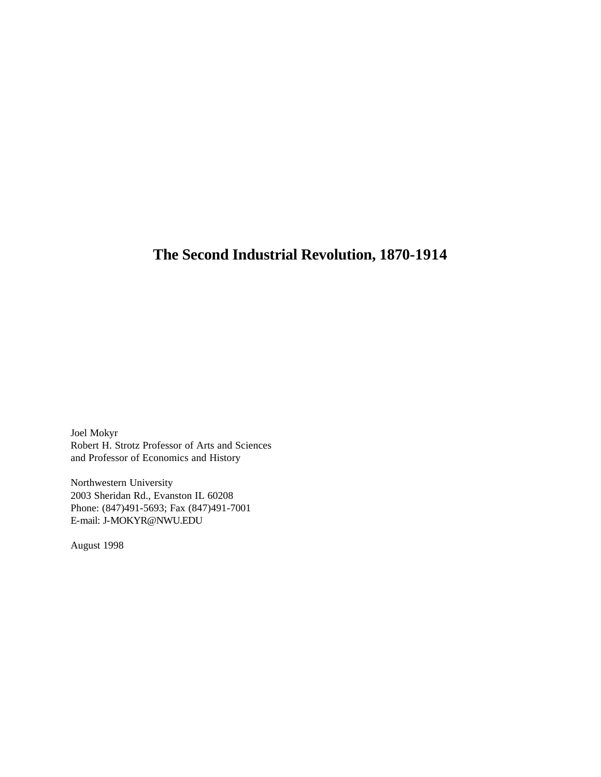Joel Mokyr Robert H. Strotz Professor of Arts and Sciences and Professor of Economics and History

Northwestern University 2003 Sheridan Rd., Evanston IL 60208 Phone: (847)491-5693; Fax (847)491-7001 E-mail: J-MOKYR@NWU.EDU

August 1998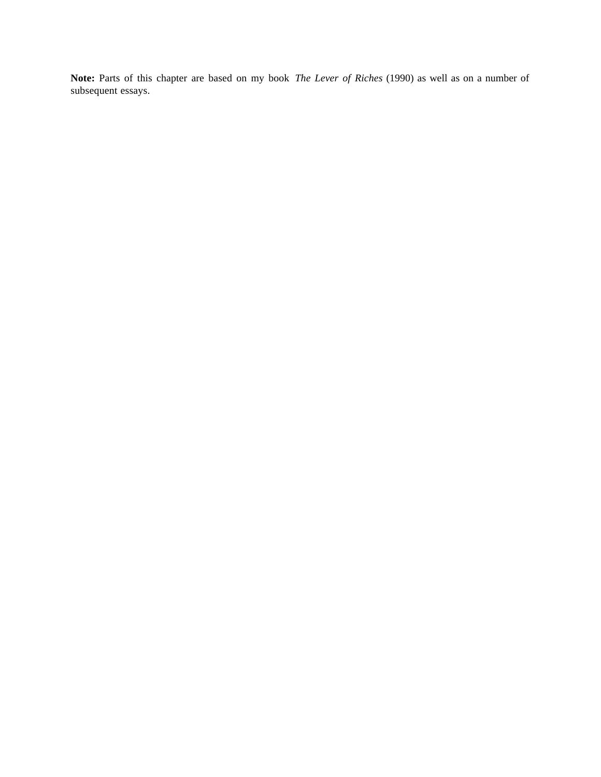**Note:** Parts of this chapter are based on my book *The Lever of Riches* (1990) as well as on a number of subsequent essays.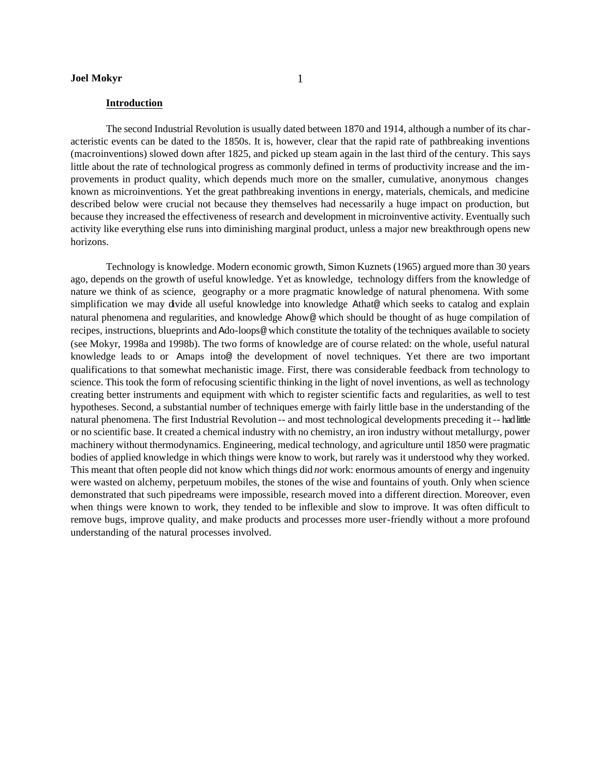#### **Introduction**

The second Industrial Revolution is usually dated between 1870 and 1914, although a number of its characteristic events can be dated to the 1850s. It is, however, clear that the rapid rate of pathbreaking inventions (macroinventions) slowed down after 1825, and picked up steam again in the last third of the century. This says little about the rate of technological progress as commonly defined in terms of productivity increase and the improvements in product quality, which depends much more on the smaller, cumulative, anonymous changes known as microinventions. Yet the great pathbreaking inventions in energy, materials, chemicals, and medicine described below were crucial not because they themselves had necessarily a huge impact on production, but because they increased the effectiveness of research and development in microinventive activity. Eventually such activity like everything else runs into diminishing marginal product, unless a major new breakthrough opens new horizons.

Technology is knowledge. Modern economic growth, Simon Kuznets (1965) argued more than 30 years ago, depends on the growth of useful knowledge. Yet as knowledge, technology differs from the knowledge of nature we think of as science, geography or a more pragmatic knowledge of natural phenomena. With some simplification we may divide all useful knowledge into knowledge Athat@ which seeks to catalog and explain natural phenomena and regularities, and knowledge Ahow@ which should be thought of as huge compilation of recipes, instructions, blueprints and Ado-loops@ which constitute the totality of the techniques available to society (see Mokyr, 1998a and 1998b). The two forms of knowledge are of course related: on the whole, useful natural knowledge leads to or Amaps into@ the development of novel techniques. Yet there are two important qualifications to that somewhat mechanistic image. First, there was considerable feedback from technology to science. This took the form of refocusing scientific thinking in the light of novel inventions, as well as technology creating better instruments and equipment with which to register scientific facts and regularities, as well to test hypotheses. Second, a substantial number of techniques emerge with fairly little base in the understanding of the natural phenomena. The first Industrial Revolution -- and most technological developments preceding it -- had little or no scientific base. It created a chemical industry with no chemistry, an iron industry without metallurgy, power machinery without thermodynamics. Engineering, medical technology, and agriculture until 1850 were pragmatic bodies of applied knowledge in which things were know to work, but rarely was it understood why they worked. This meant that often people did not know which things did *not* work: enormous amounts of energy and ingenuity were wasted on alchemy, perpetuum mobiles, the stones of the wise and fountains of youth. Only when science demonstrated that such pipedreams were impossible, research moved into a different direction. Moreover, even when things were known to work, they tended to be inflexible and slow to improve. It was often difficult to remove bugs, improve quality, and make products and processes more user-friendly without a more profound understanding of the natural processes involved.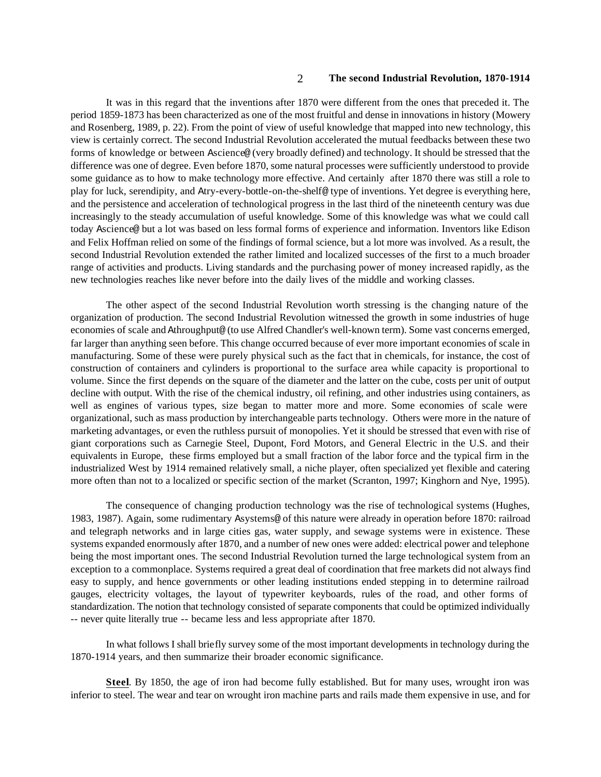It was in this regard that the inventions after 1870 were different from the ones that preceded it. The period 1859-1873 has been characterized as one of the most fruitful and dense in innovations in history (Mowery and Rosenberg, 1989, p. 22). From the point of view of useful knowledge that mapped into new technology, this view is certainly correct. The second Industrial Revolution accelerated the mutual feedbacks between these two forms of knowledge or between Ascience@ (very broadly defined) and technology. It should be stressed that the difference was one of degree. Even before 1870, some natural processes were sufficiently understood to provide some guidance as to how to make technology more effective. And certainly after 1870 there was still a role to play for luck, serendipity, and Atry-every-bottle-on-the-shelf@ type of inventions. Yet degree is everything here, and the persistence and acceleration of technological progress in the last third of the nineteenth century was due increasingly to the steady accumulation of useful knowledge. Some of this knowledge was what we could call today Ascience@ but a lot was based on less formal forms of experience and information. Inventors like Edison and Felix Hoffman relied on some of the findings of formal science, but a lot more was involved. As a result, the second Industrial Revolution extended the rather limited and localized successes of the first to a much broader range of activities and products. Living standards and the purchasing power of money increased rapidly, as the new technologies reaches like never before into the daily lives of the middle and working classes.

The other aspect of the second Industrial Revolution worth stressing is the changing nature of the organization of production. The second Industrial Revolution witnessed the growth in some industries of huge economies of scale and Athroughput@ (to use Alfred Chandler's well-known term). Some vast concerns emerged, far larger than anything seen before. This change occurred because of ever more important economies of scale in manufacturing. Some of these were purely physical such as the fact that in chemicals, for instance, the cost of construction of containers and cylinders is proportional to the surface area while capacity is proportional to volume. Since the first depends on the square of the diameter and the latter on the cube, costs per unit of output decline with output. With the rise of the chemical industry, oil refining, and other industries using containers, as well as engines of various types, size began to matter more and more. Some economies of scale were organizational, such as mass production by interchangeable parts technology. Others were more in the nature of marketing advantages, or even the ruthless pursuit of monopolies. Yet it should be stressed that even with rise of giant corporations such as Carnegie Steel, Dupont, Ford Motors, and General Electric in the U.S. and their equivalents in Europe, these firms employed but a small fraction of the labor force and the typical firm in the industrialized West by 1914 remained relatively small, a niche player, often specialized yet flexible and catering more often than not to a localized or specific section of the market (Scranton, 1997; Kinghorn and Nye, 1995).

The consequence of changing production technology was the rise of technological systems (Hughes, 1983, 1987). Again, some rudimentary Asystems@ of this nature were already in operation before 1870: railroad and telegraph networks and in large cities gas, water supply, and sewage systems were in existence. These systems expanded enormously after 1870, and a number of new ones were added: electrical power and telephone being the most important ones. The second Industrial Revolution turned the large technological system from an exception to a commonplace. Systems required a great deal of coordination that free markets did not always find easy to supply, and hence governments or other leading institutions ended stepping in to determine railroad gauges, electricity voltages, the layout of typewriter keyboards, rules of the road, and other forms of standardization. The notion that technology consisted of separate components that could be optimized individually -- never quite literally true -- became less and less appropriate after 1870.

In what follows I shall briefly survey some of the most important developments in technology during the 1870-1914 years, and then summarize their broader economic significance.

**Steel**. By 1850, the age of iron had become fully established. But for many uses, wrought iron was inferior to steel. The wear and tear on wrought iron machine parts and rails made them expensive in use, and for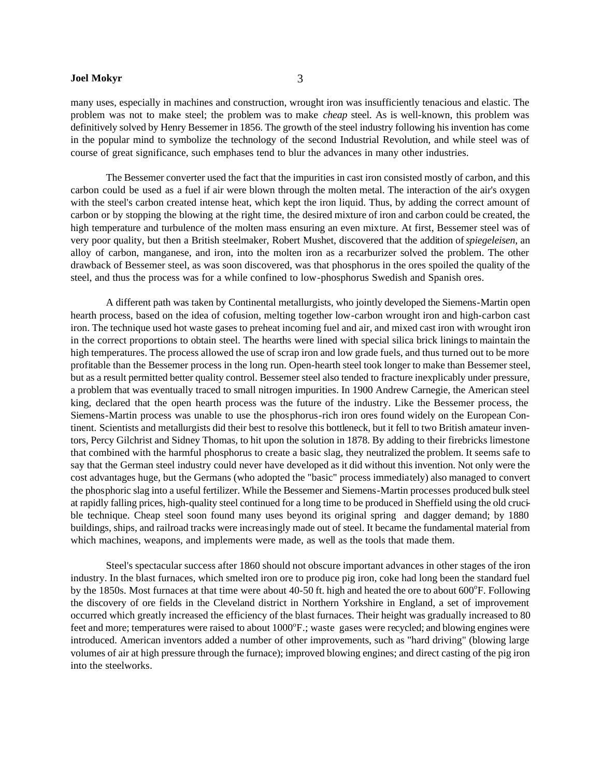many uses, especially in machines and construction, wrought iron was insufficiently tenacious and elastic. The problem was not to make steel; the problem was to make *cheap* steel. As is well-known, this problem was definitively solved by Henry Bessemer in 1856. The growth of the steel industry following his invention has come in the popular mind to symbolize the technology of the second Industrial Revolution, and while steel was of course of great significance, such emphases tend to blur the advances in many other industries.

The Bessemer converter used the fact that the impurities in cast iron consisted mostly of carbon, and this carbon could be used as a fuel if air were blown through the molten metal. The interaction of the air's oxygen with the steel's carbon created intense heat, which kept the iron liquid. Thus, by adding the correct amount of carbon or by stopping the blowing at the right time, the desired mixture of iron and carbon could be created, the high temperature and turbulence of the molten mass ensuring an even mixture. At first, Bessemer steel was of very poor quality, but then a British steelmaker, Robert Mushet, discovered that the addition of *spiegeleisen*, an alloy of carbon, manganese, and iron, into the molten iron as a recarburizer solved the problem. The other drawback of Bessemer steel, as was soon discovered, was that phosphorus in the ores spoiled the quality of the steel, and thus the process was for a while confined to low-phosphorus Swedish and Spanish ores.

A different path was taken by Continental metallurgists, who jointly developed the Siemens-Martin open hearth process, based on the idea of cofusion, melting together low-carbon wrought iron and high-carbon cast iron. The technique used hot waste gases to preheat incoming fuel and air, and mixed cast iron with wrought iron in the correct proportions to obtain steel. The hearths were lined with special silica brick linings to maintain the high temperatures. The process allowed the use of scrap iron and low grade fuels, and thus turned out to be more profitable than the Bessemer process in the long run. Open-hearth steel took longer to make than Bessemer steel, but as a result permitted better quality control. Bessemer steel also tended to fracture inexplicably under pressure, a problem that was eventually traced to small nitrogen impurities. In 1900 Andrew Carnegie, the American steel king, declared that the open hearth process was the future of the industry. Like the Bessemer process, the Siemens-Martin process was unable to use the phosphorus-rich iron ores found widely on the European Continent. Scientists and metallurgists did their best to resolve this bottleneck, but it fell to two British amateur inventors, Percy Gilchrist and Sidney Thomas, to hit upon the solution in 1878. By adding to their firebricks limestone that combined with the harmful phosphorus to create a basic slag, they neutralized the problem. It seems safe to say that the German steel industry could never have developed as it did without this invention. Not only were the cost advantages huge, but the Germans (who adopted the "basic" process immediately) also managed to convert the phosphoric slag into a useful fertilizer. While the Bessemer and Siemens-Martin processes produced bulk steel at rapidly falling prices, high-quality steel continued for a long time to be produced in Sheffield using the old crucible technique. Cheap steel soon found many uses beyond its original spring and dagger demand; by 1880 buildings, ships, and railroad tracks were increasingly made out of steel. It became the fundamental material from which machines, weapons, and implements were made, as well as the tools that made them.

Steel's spectacular success after 1860 should not obscure important advances in other stages of the iron industry. In the blast furnaces, which smelted iron ore to produce pig iron, coke had long been the standard fuel by the 1850s. Most furnaces at that time were about 40-50 ft. high and heated the ore to about 600°F. Following the discovery of ore fields in the Cleveland district in Northern Yorkshire in England, a set of improvement occurred which greatly increased the efficiency of the blast furnaces. Their height was gradually increased to 80 feet and more; temperatures were raised to about 1000°F.; waste gases were recycled; and blowing engines were introduced. American inventors added a number of other improvements, such as "hard driving" (blowing large volumes of air at high pressure through the furnace); improved blowing engines; and direct casting of the pig iron into the steelworks.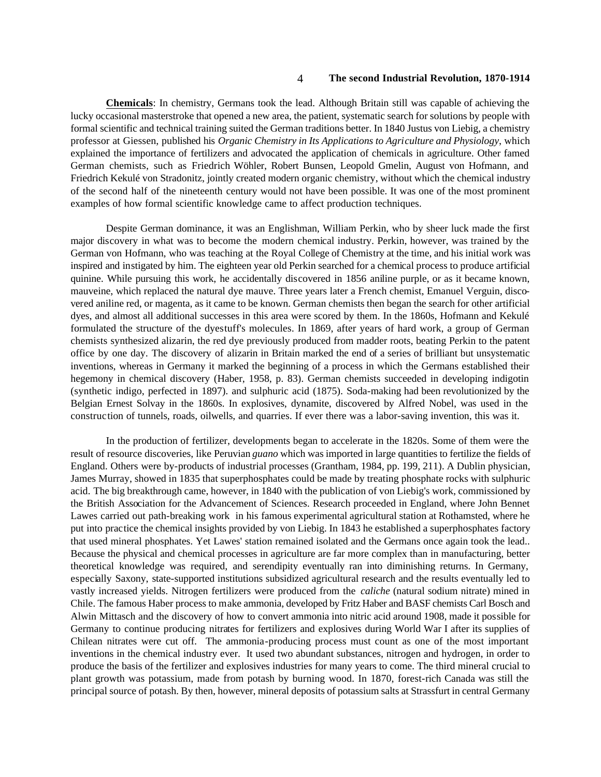**Chemicals**: In chemistry, Germans took the lead. Although Britain still was capable of achieving the lucky occasional masterstroke that opened a new area, the patient, systematic search for solutions by people with formal scientific and technical training suited the German traditions better. In 1840 Justus von Liebig, a chemistry professor at Giessen, published his *Organic Chemistry in Its Applications to Agriculture and Physiology*, which explained the importance of fertilizers and advocated the application of chemicals in agriculture. Other famed German chemists, such as Friedrich Wöhler, Robert Bunsen, Leopold Gmelin, August von Hofmann, and Friedrich Kekulé von Stradonitz, jointly created modern organic chemistry, without which the chemical industry of the second half of the nineteenth century would not have been possible. It was one of the most prominent examples of how formal scientific knowledge came to affect production techniques.

Despite German dominance, it was an Englishman, William Perkin, who by sheer luck made the first major discovery in what was to become the modern chemical industry. Perkin, however, was trained by the German von Hofmann, who was teaching at the Royal College of Chemistry at the time, and his initial work was inspired and instigated by him. The eighteen year old Perkin searched for a chemical process to produce artificial quinine. While pursuing this work, he accidentally discovered in 1856 aniline purple, or as it became known, mauveine, which replaced the natural dye mauve. Three years later a French chemist, Emanuel Verguin, discovered aniline red, or magenta, as it came to be known. German chemists then began the search for other artificial dyes, and almost all additional successes in this area were scored by them. In the 1860s, Hofmann and Kekulé formulated the structure of the dyestuff's molecules. In 1869, after years of hard work, a group of German chemists synthesized alizarin, the red dye previously produced from madder roots, beating Perkin to the patent office by one day. The discovery of alizarin in Britain marked the end of a series of brilliant but unsystematic inventions, whereas in Germany it marked the beginning of a process in which the Germans established their hegemony in chemical discovery (Haber, 1958, p. 83). German chemists succeeded in developing indigotin (synthetic indigo, perfected in 1897). and sulphuric acid (1875). Soda-making had been revolutionized by the Belgian Ernest Solvay in the 1860s. In explosives, dynamite, discovered by Alfred Nobel, was used in the construction of tunnels, roads, oilwells, and quarries. If ever there was a labor-saving invention, this was it.

In the production of fertilizer, developments began to accelerate in the 1820s. Some of them were the result of resource discoveries, like Peruvian *guano* which was imported in large quantities to fertilize the fields of England. Others were by-products of industrial processes (Grantham, 1984, pp. 199, 211). A Dublin physician, James Murray, showed in 1835 that superphosphates could be made by treating phosphate rocks with sulphuric acid. The big breakthrough came, however, in 1840 with the publication of von Liebig's work, commissioned by the British Association for the Advancement of Sciences. Research proceeded in England, where John Bennet Lawes carried out path-breaking work in his famous experimental agricultural station at Rothamsted, where he put into practice the chemical insights provided by von Liebig. In 1843 he established a superphosphates factory that used mineral phosphates. Yet Lawes' station remained isolated and the Germans once again took the lead.. Because the physical and chemical processes in agriculture are far more complex than in manufacturing, better theoretical knowledge was required, and serendipity eventually ran into diminishing returns. In Germany, especially Saxony, state-supported institutions subsidized agricultural research and the results eventually led to vastly increased yields. Nitrogen fertilizers were produced from the *caliche* (natural sodium nitrate) mined in Chile. The famous Haber process to make ammonia, developed by Fritz Haber and BASF chemists Carl Bosch and Alwin Mittasch and the discovery of how to convert ammonia into nitric acid around 1908, made it possible for Germany to continue producing nitrates for fertilizers and explosives during World War I after its supplies of Chilean nitrates were cut off. The ammonia-producing process must count as one of the most important inventions in the chemical industry ever. It used two abundant substances, nitrogen and hydrogen, in order to produce the basis of the fertilizer and explosives industries for many years to come. The third mineral crucial to plant growth was potassium, made from potash by burning wood. In 1870, forest-rich Canada was still the principal source of potash. By then, however, mineral deposits of potassium salts at Strassfurt in central Germany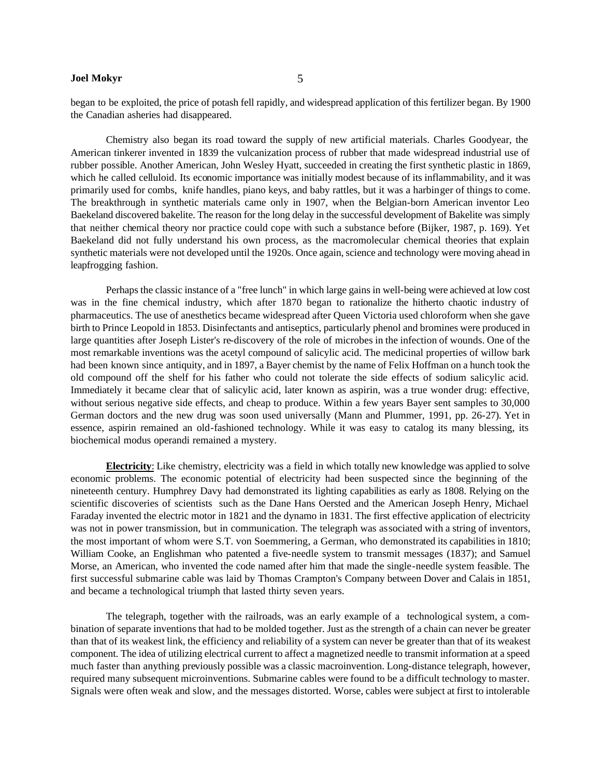began to be exploited, the price of potash fell rapidly, and widespread application of this fertilizer began. By 1900 the Canadian asheries had disappeared.

Chemistry also began its road toward the supply of new artificial materials. Charles Goodyear, the American tinkerer invented in 1839 the vulcanization process of rubber that made widespread industrial use of rubber possible. Another American, John Wesley Hyatt, succeeded in creating the first synthetic plastic in 1869, which he called celluloid. Its economic importance was initially modest because of its inflammability, and it was primarily used for combs, knife handles, piano keys, and baby rattles, but it was a harbinger of things to come. The breakthrough in synthetic materials came only in 1907, when the Belgian-born American inventor Leo Baekeland discovered bakelite. The reason for the long delay in the successful development of Bakelite was simply that neither chemical theory nor practice could cope with such a substance before (Bijker, 1987, p. 169). Yet Baekeland did not fully understand his own process, as the macromolecular chemical theories that explain synthetic materials were not developed until the 1920s. Once again, science and technology were moving ahead in leapfrogging fashion.

Perhaps the classic instance of a "free lunch" in which large gains in well-being were achieved at low cost was in the fine chemical industry, which after 1870 began to rationalize the hitherto chaotic industry of pharmaceutics. The use of anesthetics became widespread after Queen Victoria used chloroform when she gave birth to Prince Leopold in 1853. Disinfectants and antiseptics, particularly phenol and bromines were produced in large quantities after Joseph Lister's re-discovery of the role of microbes in the infection of wounds. One of the most remarkable inventions was the acetyl compound of salicylic acid. The medicinal properties of willow bark had been known since antiquity, and in 1897, a Bayer chemist by the name of Felix Hoffman on a hunch took the old compound off the shelf for his father who could not tolerate the side effects of sodium salicylic acid. Immediately it became clear that of salicylic acid, later known as aspirin, was a true wonder drug: effective, without serious negative side effects, and cheap to produce. Within a few years Bayer sent samples to 30,000 German doctors and the new drug was soon used universally (Mann and Plummer, 1991, pp. 26-27). Yet in essence, aspirin remained an old-fashioned technology. While it was easy to catalog its many blessing, its biochemical modus operandi remained a mystery.

**Electricity**: Like chemistry, electricity was a field in which totally new knowledge was applied to solve economic problems. The economic potential of electricity had been suspected since the beginning of the nineteenth century. Humphrey Davy had demonstrated its lighting capabilities as early as 1808. Relying on the scientific discoveries of scientists such as the Dane Hans Oersted and the American Joseph Henry, Michael Faraday invented the electric motor in 1821 and the dynamo in 1831. The first effective application of electricity was not in power transmission, but in communication. The telegraph was associated with a string of inventors, the most important of whom were S.T. von Soemmering, a German, who demonstrated its capabilities in 1810; William Cooke, an Englishman who patented a five-needle system to transmit messages (1837); and Samuel Morse, an American, who invented the code named after him that made the single-needle system feasible. The first successful submarine cable was laid by Thomas Crampton's Company between Dover and Calais in 1851, and became a technological triumph that lasted thirty seven years.

The telegraph, together with the railroads, was an early example of a technological system, a combination of separate inventions that had to be molded together. Just as the strength of a chain can never be greater than that of its weakest link, the efficiency and reliability of a system can never be greater than that of its weakest component. The idea of utilizing electrical current to affect a magnetized needle to transmit information at a speed much faster than anything previously possible was a classic macroinvention. Long-distance telegraph, however, required many subsequent microinventions. Submarine cables were found to be a difficult technology to master. Signals were often weak and slow, and the messages distorted. Worse, cables were subject at first to intolerable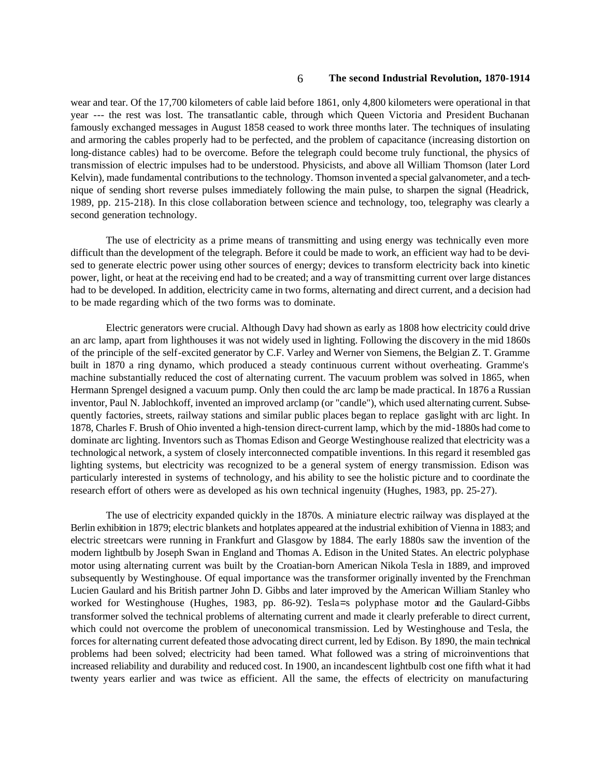wear and tear. Of the 17,700 kilometers of cable laid before 1861, only 4,800 kilometers were operational in that year --- the rest was lost. The transatlantic cable, through which Queen Victoria and President Buchanan famously exchanged messages in August 1858 ceased to work three months later. The techniques of insulating and armoring the cables properly had to be perfected, and the problem of capacitance (increasing distortion on long-distance cables) had to be overcome. Before the telegraph could become truly functional, the physics of transmission of electric impulses had to be understood. Physicists, and above all William Thomson (later Lord Kelvin), made fundamental contributions to the technology. Thomson invented a special galvanometer, and a technique of sending short reverse pulses immediately following the main pulse, to sharpen the signal (Headrick, 1989, pp. 215-218). In this close collaboration between science and technology, too, telegraphy was clearly a second generation technology.

The use of electricity as a prime means of transmitting and using energy was technically even more difficult than the development of the telegraph. Before it could be made to work, an efficient way had to be devised to generate electric power using other sources of energy; devices to transform electricity back into kinetic power, light, or heat at the receiving end had to be created; and a way of transmitting current over large distances had to be developed. In addition, electricity came in two forms, alternating and direct current, and a decision had to be made regarding which of the two forms was to dominate.

Electric generators were crucial. Although Davy had shown as early as 1808 how electricity could drive an arc lamp, apart from lighthouses it was not widely used in lighting. Following the discovery in the mid 1860s of the principle of the self-excited generator by C.F. Varley and Werner von Siemens, the Belgian Z. T. Gramme built in 1870 a ring dynamo, which produced a steady continuous current without overheating. Gramme's machine substantially reduced the cost of alternating current. The vacuum problem was solved in 1865, when Hermann Sprengel designed a vacuum pump. Only then could the arc lamp be made practical. In 1876 a Russian inventor, Paul N. Jablochkoff, invented an improved arclamp (or "candle"), which used alternating current. Subsequently factories, streets, railway stations and similar public places began to replace gaslight with arc light. In 1878, Charles F. Brush of Ohio invented a high-tension direct-current lamp, which by the mid-1880s had come to dominate arc lighting. Inventors such as Thomas Edison and George Westinghouse realized that electricity was a technological network, a system of closely interconnected compatible inventions. In this regard it resembled gas lighting systems, but electricity was recognized to be a general system of energy transmission. Edison was particularly interested in systems of technology, and his ability to see the holistic picture and to coordinate the research effort of others were as developed as his own technical ingenuity (Hughes, 1983, pp. 25-27).

The use of electricity expanded quickly in the 1870s. A miniature electric railway was displayed at the Berlin exhibition in 1879; electric blankets and hotplates appeared at the industrial exhibition of Vienna in 1883; and electric streetcars were running in Frankfurt and Glasgow by 1884. The early 1880s saw the invention of the modern lightbulb by Joseph Swan in England and Thomas A. Edison in the United States. An electric polyphase motor using alternating current was built by the Croatian-born American Nikola Tesla in 1889, and improved subsequently by Westinghouse. Of equal importance was the transformer originally invented by the Frenchman Lucien Gaulard and his British partner John D. Gibbs and later improved by the American William Stanley who worked for Westinghouse (Hughes, 1983, pp. 86-92). Tesla=s polyphase motor and the Gaulard-Gibbs transformer solved the technical problems of alternating current and made it clearly preferable to direct current, which could not overcome the problem of uneconomical transmission. Led by Westinghouse and Tesla, the forces for alternating current defeated those advocating direct current, led by Edison. By 1890, the main technical problems had been solved; electricity had been tamed. What followed was a string of microinventions that increased reliability and durability and reduced cost. In 1900, an incandescent lightbulb cost one fifth what it had twenty years earlier and was twice as efficient. All the same, the effects of electricity on manufacturing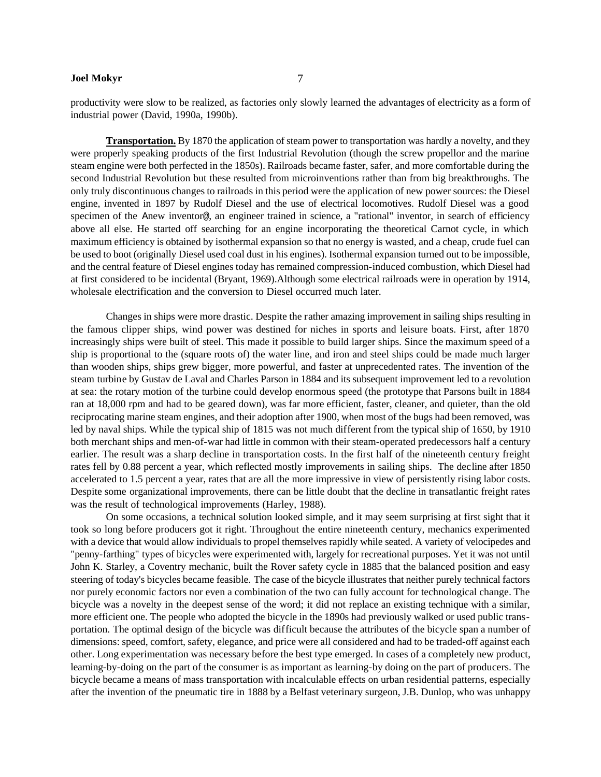productivity were slow to be realized, as factories only slowly learned the advantages of electricity as a form of industrial power (David, 1990a, 1990b).

**Transportation.** By 1870 the application of steam power to transportation was hardly a novelty, and they were properly speaking products of the first Industrial Revolution (though the screw propellor and the marine steam engine were both perfected in the 1850s). Railroads became faster, safer, and more comfortable during the second Industrial Revolution but these resulted from microinventions rather than from big breakthroughs. The only truly discontinuous changes to railroads in this period were the application of new power sources: the Diesel engine, invented in 1897 by Rudolf Diesel and the use of electrical locomotives. Rudolf Diesel was a good specimen of the Anew inventor@, an engineer trained in science, a "rational" inventor, in search of efficiency above all else. He started off searching for an engine incorporating the theoretical Carnot cycle, in which maximum efficiency is obtained by isothermal expansion so that no energy is wasted, and a cheap, crude fuel can be used to boot (originally Diesel used coal dust in his engines). Isothermal expansion turned out to be impossible, and the central feature of Diesel engines today has remained compression-induced combustion, which Diesel had at first considered to be incidental (Bryant, 1969).Although some electrical railroads were in operation by 1914, wholesale electrification and the conversion to Diesel occurred much later.

Changes in ships were more drastic. Despite the rather amazing improvement in sailing ships resulting in the famous clipper ships, wind power was destined for niches in sports and leisure boats. First, after 1870 increasingly ships were built of steel. This made it possible to build larger ships. Since the maximum speed of a ship is proportional to the (square roots of) the water line, and iron and steel ships could be made much larger than wooden ships, ships grew bigger, more powerful, and faster at unprecedented rates. The invention of the steam turbine by Gustav de Laval and Charles Parson in 1884 and its subsequent improvement led to a revolution at sea: the rotary motion of the turbine could develop enormous speed (the prototype that Parsons built in 1884 ran at 18,000 rpm and had to be geared down), was far more efficient, faster, cleaner, and quieter, than the old reciprocating marine steam engines, and their adoption after 1900, when most of the bugs had been removed, was led by naval ships. While the typical ship of 1815 was not much different from the typical ship of 1650, by 1910 both merchant ships and men-of-war had little in common with their steam-operated predecessors half a century earlier. The result was a sharp decline in transportation costs. In the first half of the nineteenth century freight rates fell by 0.88 percent a year, which reflected mostly improvements in sailing ships. The decline after 1850 accelerated to 1.5 percent a year, rates that are all the more impressive in view of persistently rising labor costs. Despite some organizational improvements, there can be little doubt that the decline in transatlantic freight rates was the result of technological improvements (Harley, 1988).

On some occasions, a technical solution looked simple, and it may seem surprising at first sight that it took so long before producers got it right. Throughout the entire nineteenth century, mechanics experimented with a device that would allow individuals to propel themselves rapidly while seated. A variety of velocipedes and "penny-farthing" types of bicycles were experimented with, largely for recreational purposes. Yet it was not until John K. Starley, a Coventry mechanic, built the Rover safety cycle in 1885 that the balanced position and easy steering of today's bicycles became feasible. The case of the bicycle illustrates that neither purely technical factors nor purely economic factors nor even a combination of the two can fully account for technological change. The bicycle was a novelty in the deepest sense of the word; it did not replace an existing technique with a similar, more efficient one. The people who adopted the bicycle in the 1890s had previously walked or used public transportation. The optimal design of the bicycle was difficult because the attributes of the bicycle span a number of dimensions: speed, comfort, safety, elegance, and price were all considered and had to be traded-off against each other. Long experimentation was necessary before the best type emerged. In cases of a completely new product, learning-by-doing on the part of the consumer is as important as learning-by doing on the part of producers. The bicycle became a means of mass transportation with incalculable effects on urban residential patterns, especially after the invention of the pneumatic tire in 1888 by a Belfast veterinary surgeon, J.B. Dunlop, who was unhappy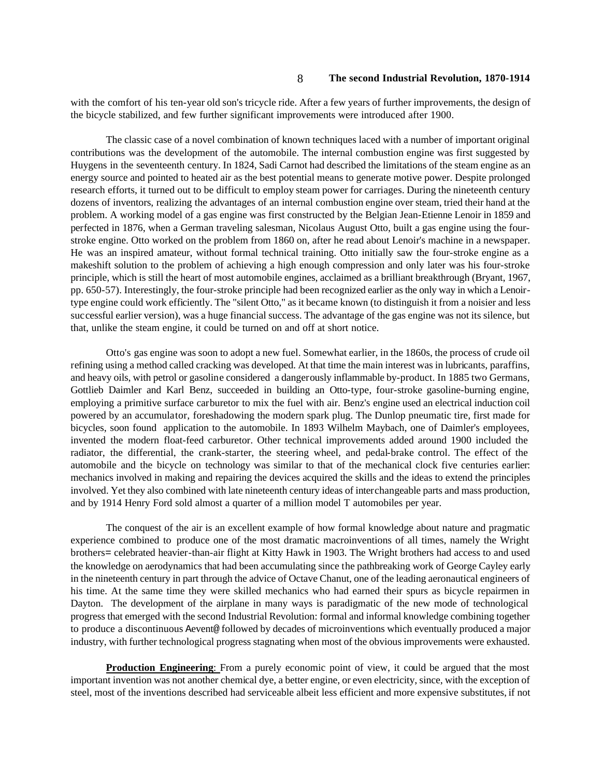with the comfort of his ten-year old son's tricycle ride. After a few years of further improvements, the design of the bicycle stabilized, and few further significant improvements were introduced after 1900.

The classic case of a novel combination of known techniques laced with a number of important original contributions was the development of the automobile. The internal combustion engine was first suggested by Huygens in the seventeenth century. In 1824, Sadi Carnot had described the limitations of the steam engine as an energy source and pointed to heated air as the best potential means to generate motive power. Despite prolonged research efforts, it turned out to be difficult to employ steam power for carriages. During the nineteenth century dozens of inventors, realizing the advantages of an internal combustion engine over steam, tried their hand at the problem. A working model of a gas engine was first constructed by the Belgian Jean-Etienne Lenoir in 1859 and perfected in 1876, when a German traveling salesman, Nicolaus August Otto, built a gas engine using the fourstroke engine. Otto worked on the problem from 1860 on, after he read about Lenoir's machine in a newspaper. He was an inspired amateur, without formal technical training. Otto initially saw the four-stroke engine as a makeshift solution to the problem of achieving a high enough compression and only later was his four-stroke principle, which is still the heart of most automobile engines, acclaimed as a brilliant breakthrough (Bryant, 1967, pp. 650-57). Interestingly, the four-stroke principle had been recognized earlier as the only way in which a Lenoirtype engine could work efficiently. The "silent Otto," as it became known (to distinguish it from a noisier and less successful earlier version), was a huge financial success. The advantage of the gas engine was not its silence, but that, unlike the steam engine, it could be turned on and off at short notice.

Otto's gas engine was soon to adopt a new fuel. Somewhat earlier, in the 1860s, the process of crude oil refining using a method called cracking was developed. At that time the main interest was in lubricants, paraffins, and heavy oils, with petrol or gasoline considered a dangerously inflammable by-product. In 1885 two Germans, Gottlieb Daimler and Karl Benz, succeeded in building an Otto-type, four-stroke gasoline-burning engine, employing a primitive surface carburetor to mix the fuel with air. Benz's engine used an electrical induction coil powered by an accumulator, foreshadowing the modern spark plug. The Dunlop pneumatic tire, first made for bicycles, soon found application to the automobile. In 1893 Wilhelm Maybach, one of Daimler's employees, invented the modern float-feed carburetor. Other technical improvements added around 1900 included the radiator, the differential, the crank-starter, the steering wheel, and pedal-brake control. The effect of the automobile and the bicycle on technology was similar to that of the mechanical clock five centuries earlier: mechanics involved in making and repairing the devices acquired the skills and the ideas to extend the principles involved. Yet they also combined with late nineteenth century ideas of interchangeable parts and mass production, and by 1914 Henry Ford sold almost a quarter of a million model T automobiles per year.

The conquest of the air is an excellent example of how formal knowledge about nature and pragmatic experience combined to produce one of the most dramatic macroinventions of all times, namely the Wright brothers= celebrated heavier-than-air flight at Kitty Hawk in 1903. The Wright brothers had access to and used the knowledge on aerodynamics that had been accumulating since the pathbreaking work of George Cayley early in the nineteenth century in part through the advice of Octave Chanut, one of the leading aeronautical engineers of his time. At the same time they were skilled mechanics who had earned their spurs as bicycle repairmen in Dayton. The development of the airplane in many ways is paradigmatic of the new mode of technological progress that emerged with the second Industrial Revolution: formal and informal knowledge combining together to produce a discontinuous Aevent@ followed by decades of microinventions which eventually produced a major industry, with further technological progress stagnating when most of the obvious improvements were exhausted.

**Production Engineering**: From a purely economic point of view, it could be argued that the most important invention was not another chemical dye, a better engine, or even electricity, since, with the exception of steel, most of the inventions described had serviceable albeit less efficient and more expensive substitutes, if not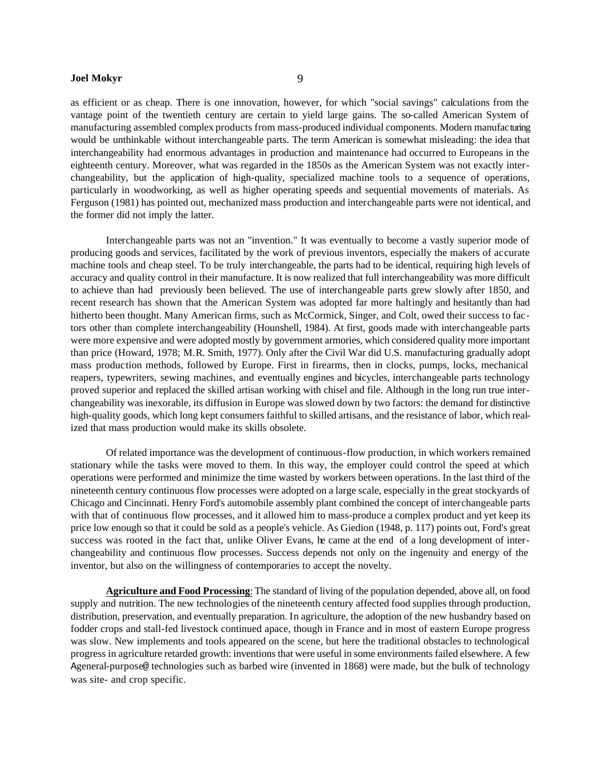as efficient or as cheap. There is one innovation, however, for which "social savings" calculations from the vantage point of the twentieth century are certain to yield large gains. The so-called American System of manufacturing assembled complex products from mass-produced individual components. Modern manufacturing would be unthinkable without interchangeable parts. The term American is somewhat misleading: the idea that interchangeability had enormous advantages in production and maintenance had occurred to Europeans in the eighteenth century. Moreover, what was regarded in the 1850s as the American System was not exactly interchangeability, but the application of high-quality, specialized machine tools to a sequence of operations, particularly in woodworking, as well as higher operating speeds and sequential movements of materials. As Ferguson (1981) has pointed out, mechanized mass production and interchangeable parts were not identical, and the former did not imply the latter.

Interchangeable parts was not an "invention." It was eventually to become a vastly superior mode of producing goods and services, facilitated by the work of previous inventors, especially the makers of accurate machine tools and cheap steel. To be truly interchangeable, the parts had to be identical, requiring high levels of accuracy and quality control in their manufacture. It is now realized that full interchangeability was more difficult to achieve than had previously been believed. The use of interchangeable parts grew slowly after 1850, and recent research has shown that the American System was adopted far more haltingly and hesitantly than had hitherto been thought. Many American firms, such as McCormick, Singer, and Colt, owed their success to factors other than complete interchangeability (Hounshell, 1984). At first, goods made with interchangeable parts were more expensive and were adopted mostly by government armories, which considered quality more important than price (Howard, 1978; M.R. Smith, 1977). Only after the Civil War did U.S. manufacturing gradually adopt mass production methods, followed by Europe. First in firearms, then in clocks, pumps, locks, mechanical reapers, typewriters, sewing machines, and eventually engines and bicycles, interchangeable parts technology proved superior and replaced the skilled artisan working with chisel and file. Although in the long run true interchangeability was inexorable, its diffusion in Europe was slowed down by two factors: the demand for distinctive high-quality goods, which long kept consumers faithful to skilled artisans, and the resistance of labor, which realized that mass production would make its skills obsolete.

Of related importance was the development of continuous-flow production, in which workers remained stationary while the tasks were moved to them. In this way, the employer could control the speed at which operations were performed and minimize the time wasted by workers between operations. In the last third of the nineteenth century continuous flow processes were adopted on a large scale, especially in the great stockyards of Chicago and Cincinnati. Henry Ford's automobile assembly plant combined the concept of interchangeable parts with that of continuous flow processes, and it allowed him to mass-produce a complex product and yet keep its price low enough so that it could be sold as a people's vehicle. As Giedion (1948, p. 117) points out, Ford's great success was rooted in the fact that, unlike Oliver Evans, he came at the end of a long development of interchangeability and continuous flow processes. Success depends not only on the ingenuity and energy of the inventor, but also on the willingness of contemporaries to accept the novelty.

**Agriculture and Food Processing**: The standard of living of the population depended, above all, on food supply and nutrition. The new technologies of the nineteenth century affected food supplies through production, distribution, preservation, and eventually preparation. In agriculture, the adoption of the new husbandry based on fodder crops and stall-fed livestock continued apace, though in France and in most of eastern Europe progress was slow. New implements and tools appeared on the scene, but here the traditional obstacles to technological progress in agriculture retarded growth: inventions that were useful in some environments failed elsewhere. A few Ageneral-purpose@ technologies such as barbed wire (invented in 1868) were made, but the bulk of technology was site- and crop specific.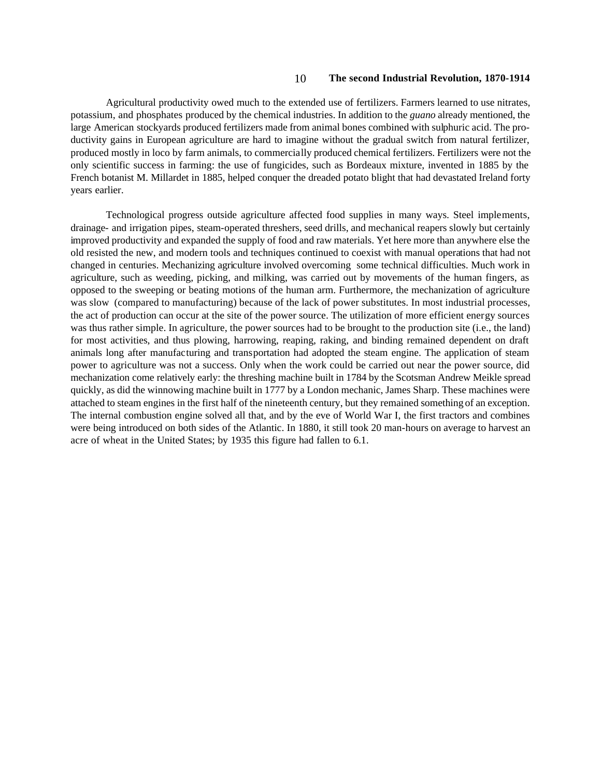Agricultural productivity owed much to the extended use of fertilizers. Farmers learned to use nitrates, potassium, and phosphates produced by the chemical industries. In addition to the *guano* already mentioned, the large American stockyards produced fertilizers made from animal bones combined with sulphuric acid. The productivity gains in European agriculture are hard to imagine without the gradual switch from natural fertilizer, produced mostly in loco by farm animals, to commercially produced chemical fertilizers. Fertilizers were not the only scientific success in farming: the use of fungicides, such as Bordeaux mixture, invented in 1885 by the French botanist M. Millardet in 1885, helped conquer the dreaded potato blight that had devastated Ireland forty years earlier.

Technological progress outside agriculture affected food supplies in many ways. Steel implements, drainage- and irrigation pipes, steam-operated threshers, seed drills, and mechanical reapers slowly but certainly improved productivity and expanded the supply of food and raw materials. Yet here more than anywhere else the old resisted the new, and modern tools and techniques continued to coexist with manual operations that had not changed in centuries. Mechanizing agriculture involved overcoming some technical difficulties. Much work in agriculture, such as weeding, picking, and milking, was carried out by movements of the human fingers, as opposed to the sweeping or beating motions of the human arm. Furthermore, the mechanization of agriculture was slow (compared to manufacturing) because of the lack of power substitutes. In most industrial processes, the act of production can occur at the site of the power source. The utilization of more efficient energy sources was thus rather simple. In agriculture, the power sources had to be brought to the production site (i.e., the land) for most activities, and thus plowing, harrowing, reaping, raking, and binding remained dependent on draft animals long after manufacturing and transportation had adopted the steam engine. The application of steam power to agriculture was not a success. Only when the work could be carried out near the power source, did mechanization come relatively early: the threshing machine built in 1784 by the Scotsman Andrew Meikle spread quickly, as did the winnowing machine built in 1777 by a London mechanic, James Sharp. These machines were attached to steam engines in the first half of the nineteenth century, but they remained something of an exception. The internal combustion engine solved all that, and by the eve of World War I, the first tractors and combines were being introduced on both sides of the Atlantic. In 1880, it still took 20 man-hours on average to harvest an acre of wheat in the United States; by 1935 this figure had fallen to 6.1.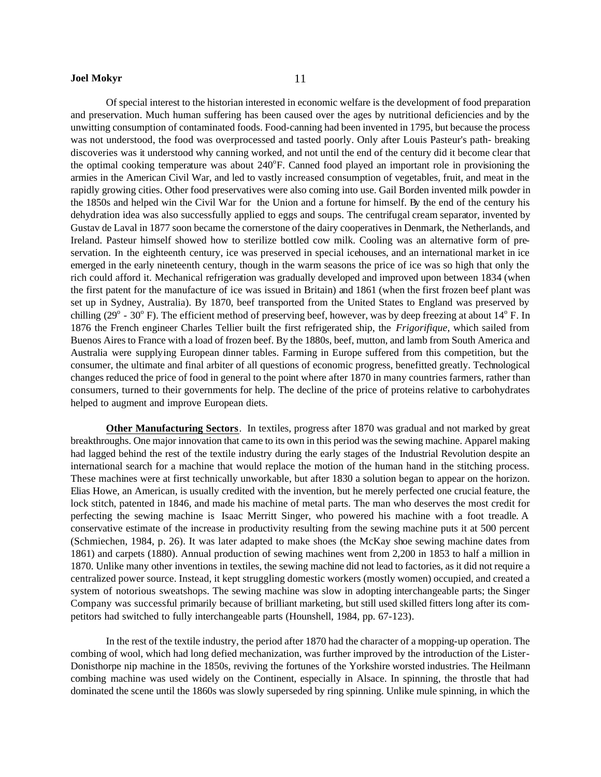Of special interest to the historian interested in economic welfare is the development of food preparation and preservation. Much human suffering has been caused over the ages by nutritional deficiencies and by the unwitting consumption of contaminated foods. Food-canning had been invented in 1795, but because the process was not understood, the food was overprocessed and tasted poorly. Only after Louis Pasteur's path- breaking discoveries was it understood why canning worked, and not until the end of the century did it become clear that the optimal cooking temperature was about 240°F. Canned food played an important role in provisioning the armies in the American Civil War, and led to vastly increased consumption of vegetables, fruit, and meat in the rapidly growing cities. Other food preservatives were also coming into use. Gail Borden invented milk powder in the 1850s and helped win the Civil War for the Union and a fortune for himself. By the end of the century his dehydration idea was also successfully applied to eggs and soups. The centrifugal cream separator, invented by Gustav de Laval in 1877 soon became the cornerstone of the dairy cooperatives in Denmark, the Netherlands, and Ireland. Pasteur himself showed how to sterilize bottled cow milk. Cooling was an alternative form of preservation. In the eighteenth century, ice was preserved in special icehouses, and an international market in ice emerged in the early nineteenth century, though in the warm seasons the price of ice was so high that only the rich could afford it. Mechanical refrigeration was gradually developed and improved upon between 1834 (when the first patent for the manufacture of ice was issued in Britain) and 1861 (when the first frozen beef plant was set up in Sydney, Australia). By 1870, beef transported from the United States to England was preserved by chilling  $(29^{\circ} - 30^{\circ}$  F). The efficient method of preserving beef, however, was by deep freezing at about 14 $^{\circ}$  F. In 1876 the French engineer Charles Tellier built the first refrigerated ship, the *Frigorifique*, which sailed from Buenos Aires to France with a load of frozen beef. By the 1880s, beef, mutton, and lamb from South America and Australia were supplying European dinner tables. Farming in Europe suffered from this competition, but the consumer, the ultimate and final arbiter of all questions of economic progress, benefitted greatly. Technological changes reduced the price of food in general to the point where after 1870 in many countries farmers, rather than consumers, turned to their governments for help. The decline of the price of proteins relative to carbohydrates helped to augment and improve European diets.

**Other Manufacturing Sectors**. In textiles, progress after 1870 was gradual and not marked by great breakthroughs. One major innovation that came to its own in this period was the sewing machine. Apparel making had lagged behind the rest of the textile industry during the early stages of the Industrial Revolution despite an international search for a machine that would replace the motion of the human hand in the stitching process. These machines were at first technically unworkable, but after 1830 a solution began to appear on the horizon. Elias Howe, an American, is usually credited with the invention, but he merely perfected one crucial feature, the lock stitch, patented in 1846, and made his machine of metal parts. The man who deserves the most credit for perfecting the sewing machine is Isaac Merritt Singer, who powered his machine with a foot treadle. A conservative estimate of the increase in productivity resulting from the sewing machine puts it at 500 percent (Schmiechen, 1984, p. 26). It was later adapted to make shoes (the McKay shoe sewing machine dates from 1861) and carpets (1880). Annual production of sewing machines went from 2,200 in 1853 to half a million in 1870. Unlike many other inventions in textiles, the sewing machine did not lead to factories, as it did not require a centralized power source. Instead, it kept struggling domestic workers (mostly women) occupied, and created a system of notorious sweatshops. The sewing machine was slow in adopting interchangeable parts; the Singer Company was successful primarily because of brilliant marketing, but still used skilled fitters long after its competitors had switched to fully interchangeable parts (Hounshell, 1984, pp. 67-123).

In the rest of the textile industry, the period after 1870 had the character of a mopping-up operation. The combing of wool, which had long defied mechanization, was further improved by the introduction of the Lister-Donisthorpe nip machine in the 1850s, reviving the fortunes of the Yorkshire worsted industries. The Heilmann combing machine was used widely on the Continent, especially in Alsace. In spinning, the throstle that had dominated the scene until the 1860s was slowly superseded by ring spinning. Unlike mule spinning, in which the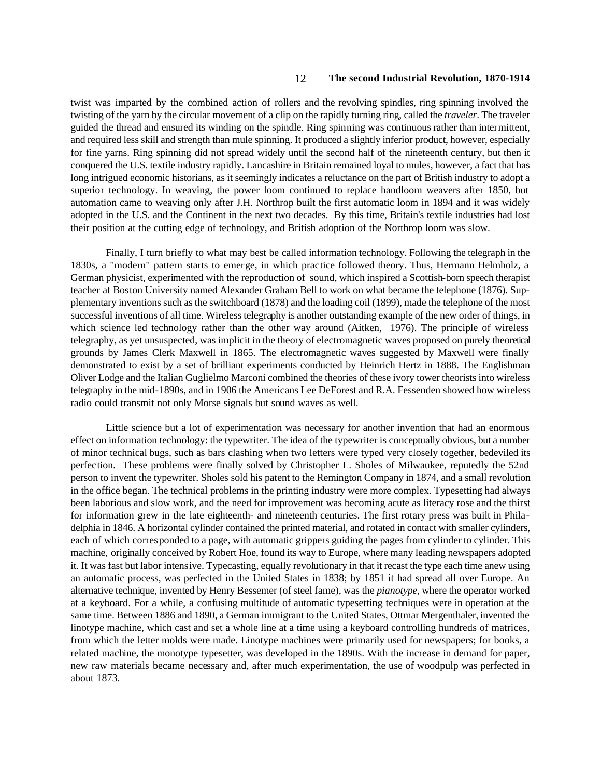twist was imparted by the combined action of rollers and the revolving spindles, ring spinning involved the twisting of the yarn by the circular movement of a clip on the rapidly turning ring, called the *traveler*. The traveler guided the thread and ensured its winding on the spindle. Ring spinning was continuous rather than intermittent, and required less skill and strength than mule spinning. It produced a slightly inferior product, however, especially for fine yarns. Ring spinning did not spread widely until the second half of the nineteenth century, but then it conquered the U.S. textile industry rapidly. Lancashire in Britain remained loyal to mules, however, a fact that has long intrigued economic historians, as it seemingly indicates a reluctance on the part of British industry to adopt a superior technology. In weaving, the power loom continued to replace handloom weavers after 1850, but automation came to weaving only after J.H. Northrop built the first automatic loom in 1894 and it was widely adopted in the U.S. and the Continent in the next two decades. By this time, Britain's textile industries had lost their position at the cutting edge of technology, and British adoption of the Northrop loom was slow.

Finally, I turn briefly to what may best be called information technology. Following the telegraph in the 1830s, a "modern" pattern starts to emerge, in which practice followed theory. Thus, Hermann Helmholz, a German physicist, experimented with the reproduction of sound, which inspired a Scottish-born speech therapist teacher at Boston University named Alexander Graham Bell to work on what became the telephone (1876). Supplementary inventions such as the switchboard (1878) and the loading coil (1899), made the telephone of the most successful inventions of all time. Wireless telegraphy is another outstanding example of the new order of things, in which science led technology rather than the other way around (Aitken, 1976). The principle of wireless telegraphy, as yet unsuspected, was implicit in the theory of electromagnetic waves proposed on purely theoretical grounds by James Clerk Maxwell in 1865. The electromagnetic waves suggested by Maxwell were finally demonstrated to exist by a set of brilliant experiments conducted by Heinrich Hertz in 1888. The Englishman Oliver Lodge and the Italian Guglielmo Marconi combined the theories of these ivory tower theorists into wireless telegraphy in the mid-1890s, and in 1906 the Americans Lee DeForest and R.A. Fessenden showed how wireless radio could transmit not only Morse signals but sound waves as well.

Little science but a lot of experimentation was necessary for another invention that had an enormous effect on information technology: the typewriter. The idea of the typewriter is conceptually obvious, but a number of minor technical bugs, such as bars clashing when two letters were typed very closely together, bedeviled its perfection. These problems were finally solved by Christopher L. Sholes of Milwaukee, reputedly the 52nd person to invent the typewriter. Sholes sold his patent to the Remington Company in 1874, and a small revolution in the office began. The technical problems in the printing industry were more complex. Typesetting had always been laborious and slow work, and the need for improvement was becoming acute as literacy rose and the thirst for information grew in the late eighteenth- and nineteenth centuries. The first rotary press was built in Philadelphia in 1846. A horizontal cylinder contained the printed material, and rotated in contact with smaller cylinders, each of which corresponded to a page, with automatic grippers guiding the pages from cylinder to cylinder. This machine, originally conceived by Robert Hoe, found its way to Europe, where many leading newspapers adopted it. It was fast but labor intensive. Typecasting, equally revolutionary in that it recast the type each time anew using an automatic process, was perfected in the United States in 1838; by 1851 it had spread all over Europe. An alternative technique, invented by Henry Bessemer (of steel fame), was the *pianotype*, where the operator worked at a keyboard. For a while, a confusing multitude of automatic typesetting techniques were in operation at the same time. Between 1886 and 1890, a German immigrant to the United States, Ottmar Mergenthaler, invented the linotype machine, which cast and set a whole line at a time using a keyboard controlling hundreds of matrices, from which the letter molds were made. Linotype machines were primarily used for newspapers; for books, a related machine, the monotype typesetter, was developed in the 1890s. With the increase in demand for paper, new raw materials became necessary and, after much experimentation, the use of woodpulp was perfected in about 1873.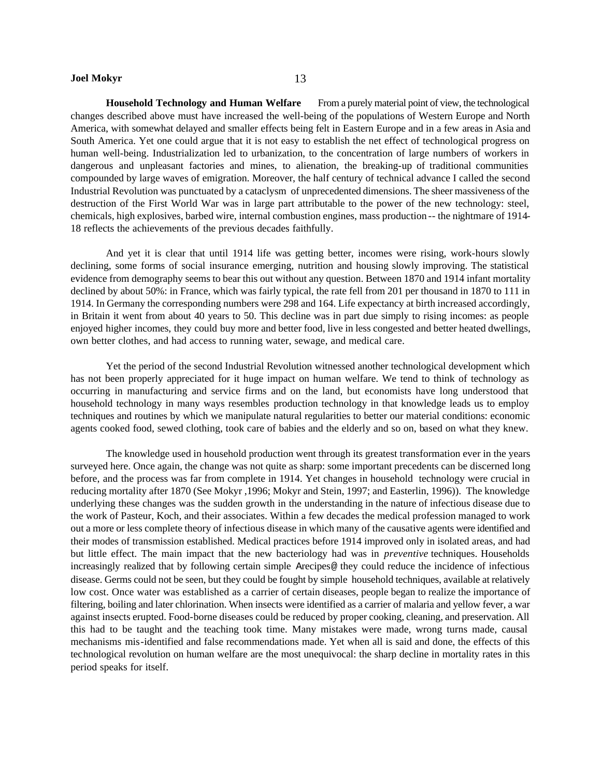**Household Technology and Human Welfare** From a purely material point of view, the technological changes described above must have increased the well-being of the populations of Western Europe and North America, with somewhat delayed and smaller effects being felt in Eastern Europe and in a few areas in Asia and South America. Yet one could argue that it is not easy to establish the net effect of technological progress on human well-being. Industrialization led to urbanization, to the concentration of large numbers of workers in dangerous and unpleasant factories and mines, to alienation, the breaking-up of traditional communities compounded by large waves of emigration. Moreover, the half century of technical advance I called the second Industrial Revolution was punctuated by a cataclysm of unprecedented dimensions. The sheer massiveness of the destruction of the First World War was in large part attributable to the power of the new technology: steel, chemicals, high explosives, barbed wire, internal combustion engines, mass production -- the nightmare of 1914- 18 reflects the achievements of the previous decades faithfully.

And yet it is clear that until 1914 life was getting better, incomes were rising, work-hours slowly declining, some forms of social insurance emerging, nutrition and housing slowly improving. The statistical evidence from demography seems to bear this out without any question. Between 1870 and 1914 infant mortality declined by about 50%: in France, which was fairly typical, the rate fell from 201 per thousand in 1870 to 111 in 1914. In Germany the corresponding numbers were 298 and 164. Life expectancy at birth increased accordingly, in Britain it went from about 40 years to 50. This decline was in part due simply to rising incomes: as people enjoyed higher incomes, they could buy more and better food, live in less congested and better heated dwellings, own better clothes, and had access to running water, sewage, and medical care.

Yet the period of the second Industrial Revolution witnessed another technological development which has not been properly appreciated for it huge impact on human welfare. We tend to think of technology as occurring in manufacturing and service firms and on the land, but economists have long understood that household technology in many ways resembles production technology in that knowledge leads us to employ techniques and routines by which we manipulate natural regularities to better our material conditions: economic agents cooked food, sewed clothing, took care of babies and the elderly and so on, based on what they knew.

The knowledge used in household production went through its greatest transformation ever in the years surveyed here. Once again, the change was not quite as sharp: some important precedents can be discerned long before, and the process was far from complete in 1914. Yet changes in household technology were crucial in reducing mortality after 1870 (See Mokyr ,1996; Mokyr and Stein, 1997; and Easterlin, 1996)). The knowledge underlying these changes was the sudden growth in the understanding in the nature of infectious disease due to the work of Pasteur, Koch, and their associates. Within a few decades the medical profession managed to work out a more or less complete theory of infectious disease in which many of the causative agents were identified and their modes of transmission established. Medical practices before 1914 improved only in isolated areas, and had but little effect. The main impact that the new bacteriology had was in *preventive* techniques. Households increasingly realized that by following certain simple Arecipes@ they could reduce the incidence of infectious disease. Germs could not be seen, but they could be fought by simple household techniques, available at relatively low cost. Once water was established as a carrier of certain diseases, people began to realize the importance of filtering, boiling and later chlorination. When insects were identified as a carrier of malaria and yellow fever, a war against insects erupted. Food-borne diseases could be reduced by proper cooking, cleaning, and preservation. All this had to be taught and the teaching took time. Many mistakes were made, wrong turns made, causal mechanisms mis-identified and false recommendations made. Yet when all is said and done, the effects of this technological revolution on human welfare are the most unequivocal: the sharp decline in mortality rates in this period speaks for itself.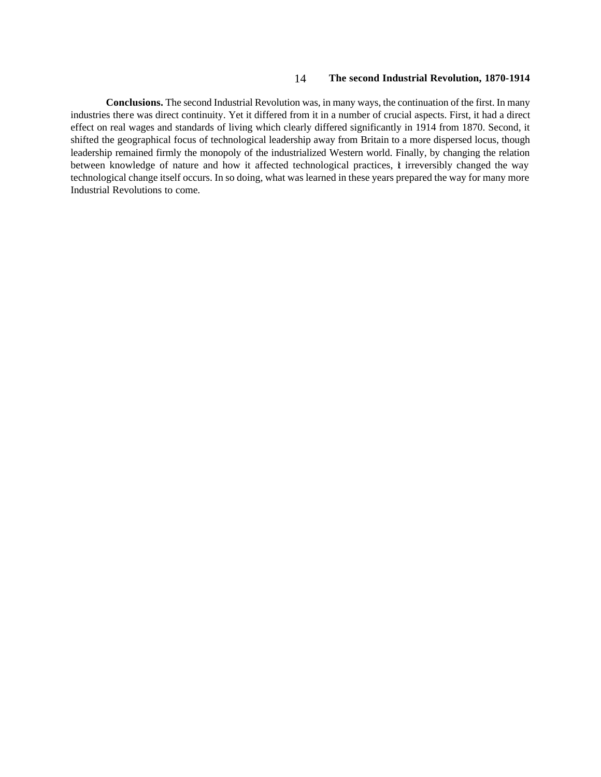**Conclusions.** The second Industrial Revolution was, in many ways, the continuation of the first. In many industries there was direct continuity. Yet it differed from it in a number of crucial aspects. First, it had a direct effect on real wages and standards of living which clearly differed significantly in 1914 from 1870. Second, it shifted the geographical focus of technological leadership away from Britain to a more dispersed locus, though leadership remained firmly the monopoly of the industrialized Western world. Finally, by changing the relation between knowledge of nature and how it affected technological practices, it irreversibly changed the way technological change itself occurs. In so doing, what was learned in these years prepared the way for many more Industrial Revolutions to come.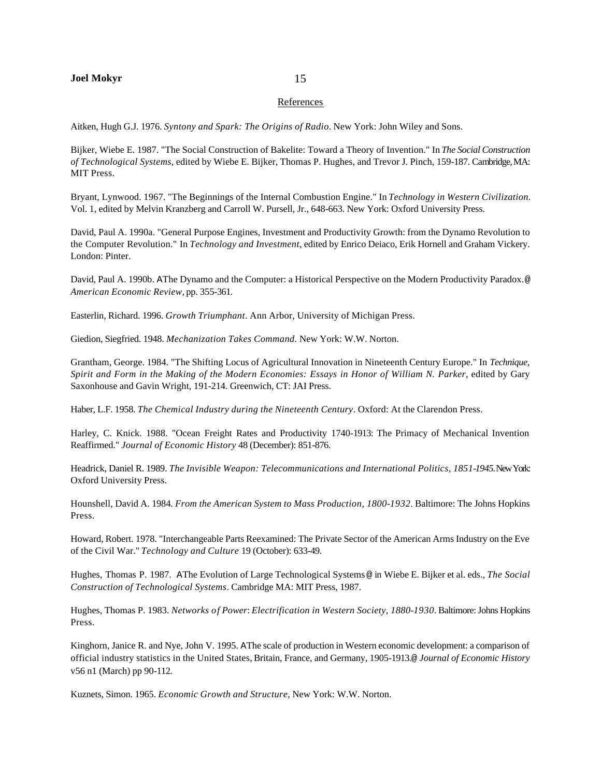#### References

Aitken, Hugh G.J. 1976. *Syntony and Spark: The Origins of Radio*. New York: John Wiley and Sons.

Bijker, Wiebe E. 1987. "The Social Construction of Bakelite: Toward a Theory of Invention." In *The Social Construction of Technological Systems*, edited by Wiebe E. Bijker, Thomas P. Hughes, and Trevor J. Pinch, 159-187. Cambridge, MA: MIT Press.

Bryant, Lynwood. 1967. "The Beginnings of the Internal Combustion Engine." In *Technology in Western Civilization*. Vol. 1, edited by Melvin Kranzberg and Carroll W. Pursell, Jr., 648-663. New York: Oxford University Press.

David, Paul A. 1990a. "General Purpose Engines, Investment and Productivity Growth: from the Dynamo Revolution to the Computer Revolution." In *Technology and Investment*, edited by Enrico Deiaco, Erik Hornell and Graham Vickery. London: Pinter.

David, Paul A. 1990b. AThe Dynamo and the Computer: a Historical Perspective on the Modern Productivity Paradox.@ *American Economic Review,* pp. 355-361.

Easterlin, Richard. 1996. *Growth Triumphant*. Ann Arbor, University of Michigan Press.

Giedion, Siegfried. 1948. *Mechanization Takes Command.* New York: W.W. Norton.

Grantham, George. 1984. "The Shifting Locus of Agricultural Innovation in Nineteenth Century Europe." In *Technique, Spirit and Form in the Making of the Modern Economies: Essays in Honor of William N. Parker*, edited by Gary Saxonhouse and Gavin Wright, 191-214. Greenwich, CT: JAI Press.

Haber, L.F. 1958. *The Chemical Industry during the Nineteenth Century*. Oxford: At the Clarendon Press.

Harley, C. Knick. 1988. "Ocean Freight Rates and Productivity 1740-1913: The Primacy of Mechanical Invention Reaffirmed." *Journal of Economic History* 48 (December): 851-876.

Headrick, Daniel R. 1989. *The Invisible Weapon: Telecommunications and International Politics, 1851-1945.* New York: Oxford University Press.

Hounshell, David A. 1984. *From the American System to Mass Production, 1800-1932.* Baltimore: The Johns Hopkins Press.

Howard, Robert. 1978. "Interchangeable Parts Reexamined: The Private Sector of the American Arms Industry on the Eve of the Civil War." *Technology and Culture* 19 (October): 633-49.

Hughes, Thomas P. 1987. AThe Evolution of Large Technological Systems @ in Wiebe E. Bijker et al. eds., *The Social Construction of Technological Systems*. Cambridge MA: MIT Press, 1987.

Hughes, Thomas P. 1983. *Networks of Power*: *Electrification in Western Society, 1880-1930.* Baltimore: Johns Hopkins Press.

Kinghorn, Janice R. and Nye, John V. 1995. AThe scale of production in Western economic development: a comparison of official industry statistics in the United States, Britain, France, and Germany, 1905-1913.@ *Journal of Economic History* v56 n1 (March) pp 90-112.

Kuznets, Simon. 1965. *Economic Growth and Structure*, New York: W.W. Norton.